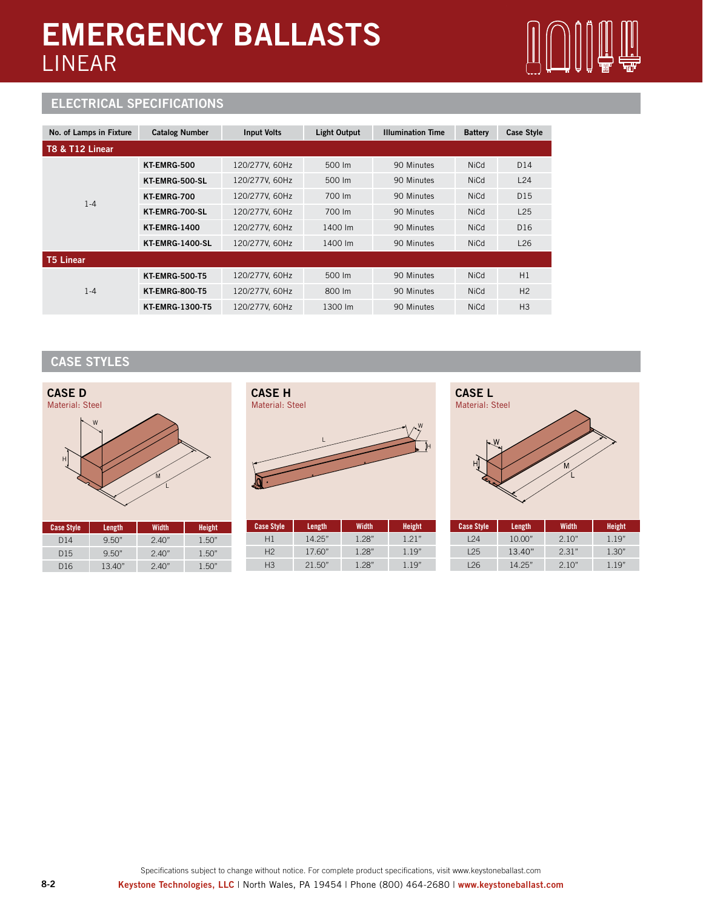## **EMERGENCY BALLASTS** LINEAR



### **ELECTRICAL SPECIFICATIONS**

| No. of Lamps in Fixture | <b>Catalog Number</b>  | <b>Input Volts</b> | <b>Light Output</b> | <b>Illumination Time</b> | <b>Battery</b> | <b>Case Style</b> |
|-------------------------|------------------------|--------------------|---------------------|--------------------------|----------------|-------------------|
| T8 & T12 Linear         |                        |                    |                     |                          |                |                   |
| $1 - 4$                 | <b>KT EMRG-500</b>     | 120/277V, 60Hz     | 500 lm              | 90 Minutes               | <b>NiCd</b>    | D <sub>14</sub>   |
|                         | KT-EMRG-500-SL         | 120/277V, 60Hz     | 500 lm              | 90 Minutes               | <b>NiCd</b>    | L24               |
|                         | KT-EMRG-700            | 120/277V, 60Hz     | 700 lm              | 90 Minutes               | <b>NiCd</b>    | D <sub>15</sub>   |
|                         | KT-EMRG-700-SL         | 120/277V, 60Hz     | 700 lm              | 90 Minutes               | <b>NiCd</b>    | L25               |
|                         | <b>KT-EMRG-1400</b>    | 120/277V, 60Hz     | 1400 lm             | 90 Minutes               | <b>NiCd</b>    | D <sub>16</sub>   |
|                         | <b>KT-EMRG-1400-SL</b> | 120/277V, 60Hz     | 1400 lm             | 90 Minutes               | <b>NiCd</b>    | L26               |
| <b>T5 Linear</b>        |                        |                    |                     |                          |                |                   |
| $1 - 4$                 | <b>KT-EMRG-500-T5</b>  | 120/277V, 60Hz     | 500 lm              | 90 Minutes               | <b>NiCd</b>    | H1                |
|                         | <b>KT-EMRG-800-T5</b>  | 120/277V, 60Hz     | 800 lm              | 90 Minutes               | <b>NiCd</b>    | H <sub>2</sub>    |
|                         | <b>KT-EMRG-1300-T5</b> | 120/277V, 60Hz     | 1300 lm             | 90 Minutes               | <b>NiCd</b>    | H <sub>3</sub>    |

## **CASE STYLES**



| <b>Case Style</b> | Length | Width | <b>Height</b> |
|-------------------|--------|-------|---------------|
| D <sub>14</sub>   | 9.50"  | 2.40" | 1.50"         |
| D15               | 9.50"  | 240"  | 1.50"         |
| D16               | 13.40" | 240"  | 1.50"         |



| <b>Case Style</b> | Length | Width | Height |
|-------------------|--------|-------|--------|
| Η1                | 14.25" | 1.28" | 121"   |
| H <sup>2</sup>    | 17.60" | 1.28" | 119"   |
| H <sub>3</sub>    | 21.50" | 1.28" | 1 19"  |



| <b>Case Style</b> | Length | Width | <b>Height</b> |
|-------------------|--------|-------|---------------|
| 124               | 10.00" | 2.10" | 1.19"         |
| 125               | 13.40" | 2.31" | 1.30"         |
| 126               | 14.25" | 2.10" | 119"          |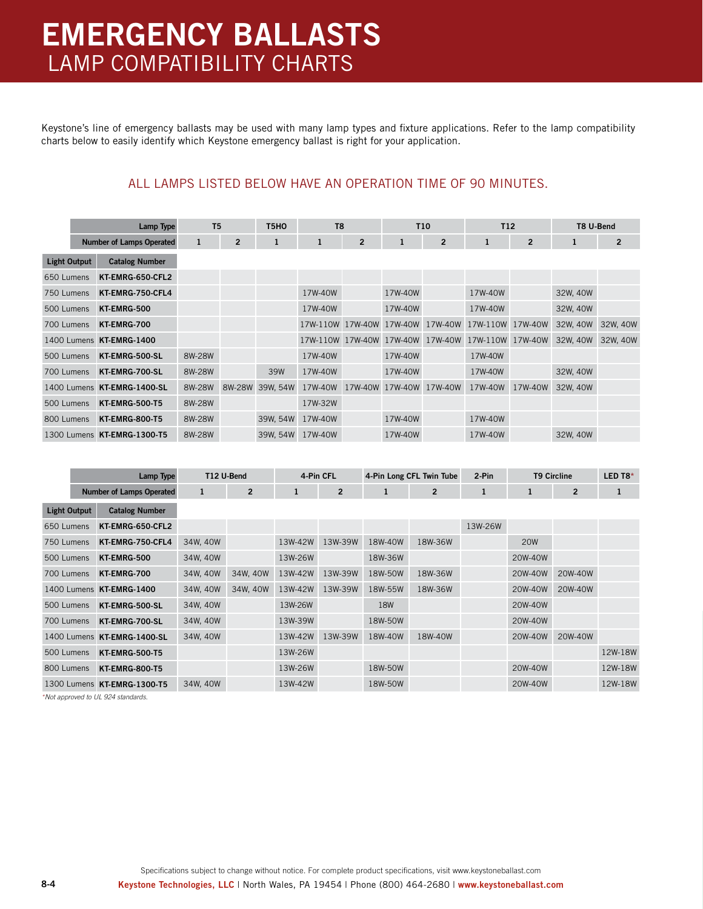# **EMERGENCY BALLASTS** LAMP COMPATIBILITY CHARTS

Keystone's line of emergency ballasts may be used with many lamp types and fixture applications. Refer to the lamp compatibility charts below to easily identify which Keystone emergency ballast is right for your application.

### ALL LAMPS LISTED BELOW HAVE AN OPERATION TIME OF 90 MINUTES.

| Lamp Type           |                                 | T <sub>5</sub> |                | T <sub>5</sub> HO | T <sub>8</sub>   |                |              | T <sub>10</sub> | T <sub>12</sub> |                | T8 U-Bend |                |
|---------------------|---------------------------------|----------------|----------------|-------------------|------------------|----------------|--------------|-----------------|-----------------|----------------|-----------|----------------|
|                     | <b>Number of Lamps Operated</b> | 1              | $\overline{2}$ | 1                 | 1                | $\overline{2}$ | $\mathbf{1}$ | $\overline{2}$  | 1               | $\overline{2}$ | 1         | $\overline{2}$ |
| <b>Light Output</b> | <b>Catalog Number</b>           |                |                |                   |                  |                |              |                 |                 |                |           |                |
| 650 Lumens          | KT-EMRG-650-CFL2                |                |                |                   |                  |                |              |                 |                 |                |           |                |
| 750 Lumens          | KT-EMRG-750-CFL4                |                |                |                   | 17W-40W          |                | 17W-40W      |                 | 17W-40W         |                | 32W, 40W  |                |
| 500 Lumens          | KT-EMRG-500                     |                |                |                   | 17W-40W          |                | 17W-40W      |                 | 17W-40W         |                | 32W, 40W  |                |
| 700 Lumens          | KT-EMRG-700                     |                |                |                   | 17W-110W 17W-40W |                | 17W-40W      | 17W-40W         | 17W-110W        | 17W-40W        | 32W, 40W  | 32W. 40W       |
| 1400 Lumens         | <b>KT-EMRG-1400</b>             |                |                |                   | 17W-110W 17W-40W |                | 17W-40W      | 17W-40W         | 17W-110W        | 17W-40W        | 32W, 40W  | 32W, 40W       |
| 500 Lumens          | KT-EMRG-500-SL                  | 8W-28W         |                |                   | 17W-40W          |                | 17W-40W      |                 | 17W-40W         |                |           |                |
| 700 Lumens          | KT-EMRG-700-SL                  | 8W-28W         |                | 39W               | 17W-40W          |                | 17W-40W      |                 | 17W-40W         |                | 32W, 40W  |                |
| 1400 Lumens         | <b>KT-EMRG-1400-SL</b>          | 8W-28W         | 8W-28W         | 39W, 54W          | 17W-40W          | 17W-40W        | 17W-40W      | 17W-40W         | 17W-40W         | 17W-40W        | 32W, 40W  |                |
| 500 Lumens          | <b>KT-EMRG-500-T5</b>           | 8W-28W         |                |                   | 17W-32W          |                |              |                 |                 |                |           |                |
| 800 Lumens          | <b>KT-EMRG-800-T5</b>           | 8W-28W         |                | 39W, 54W          | 17W-40W          |                | 17W-40W      |                 | 17W-40W         |                |           |                |
| 1300 Lumens         | <b>KT-EMRG-1300-T5</b>          | 8W-28W         |                | 39W, 54W          | 17W-40W          |                | 17W-40W      |                 | 17W-40W         |                | 32W, 40W  |                |

|                     | Lamp Type                       |          | T12 U-Bend     |         | 4-Pin CFL      | 4-Pin Long CFL Twin Tube |                | 2-Pin   | <b>T9 Circline</b> |                | LED T8* |
|---------------------|---------------------------------|----------|----------------|---------|----------------|--------------------------|----------------|---------|--------------------|----------------|---------|
|                     | <b>Number of Lamps Operated</b> | 1        | $\overline{2}$ | 1       | $\overline{2}$ | 1                        | $\overline{2}$ | 1       |                    | $\overline{2}$ |         |
| <b>Light Output</b> | <b>Catalog Number</b>           |          |                |         |                |                          |                |         |                    |                |         |
| 650 Lumens          | KT-EMRG-650-CFL2                |          |                |         |                |                          |                | 13W-26W |                    |                |         |
| 750 Lumens          | KT-EMRG-750-CFL4                | 34W, 40W |                | 13W-42W | 13W-39W        | 18W-40W                  | 18W-36W        |         | <b>20W</b>         |                |         |
| 500 Lumens          | KT-EMRG-500                     | 34W, 40W |                | 13W-26W |                | 18W-36W                  |                |         | 20W-40W            |                |         |
| 700 Lumens          | KT-EMRG-700                     | 34W, 40W | 34W. 40W       | 13W-42W | 13W-39W        | 18W-50W                  | 18W-36W        |         | 20W-40W            | 20W-40W        |         |
| 1400 Lumens         | <b>KT-EMRG-1400</b>             | 34W, 40W | 34W, 40W       | 13W-42W | 13W-39W        | 18W-55W                  | 18W-36W        |         | 20W-40W            | 20W-40W        |         |
| 500 Lumens          | KT-EMRG-500-SL                  | 34W, 40W |                | 13W-26W |                | <b>18W</b>               |                |         | 20W-40W            |                |         |
| 700 Lumens          | KT-EMRG-700-SL                  | 34W, 40W |                | 13W-39W |                | 18W-50W                  |                |         | 20W-40W            |                |         |
| 1400 Lumens         | <b>KT-EMRG-1400-SL</b>          | 34W, 40W |                | 13W-42W | 13W-39W        | 18W-40W                  | 18W-40W        |         | 20W-40W            | 20W-40W        |         |
| 500 Lumens          | <b>KT-EMRG-500-T5</b>           |          |                | 13W-26W |                |                          |                |         |                    |                | 12W-18W |
| 800 Lumens          | <b>KT-EMRG-800-T5</b>           |          |                | 13W-26W |                | 18W-50W                  |                |         | 20W-40W            |                | 12W-18W |
|                     | 1300 Lumens KT-EMRG-1300-T5     | 34W. 40W |                | 13W-42W |                | 18W-50W                  |                |         | 20W-40W            |                | 12W-18W |

*\*Not approved to UL 924 standards.*